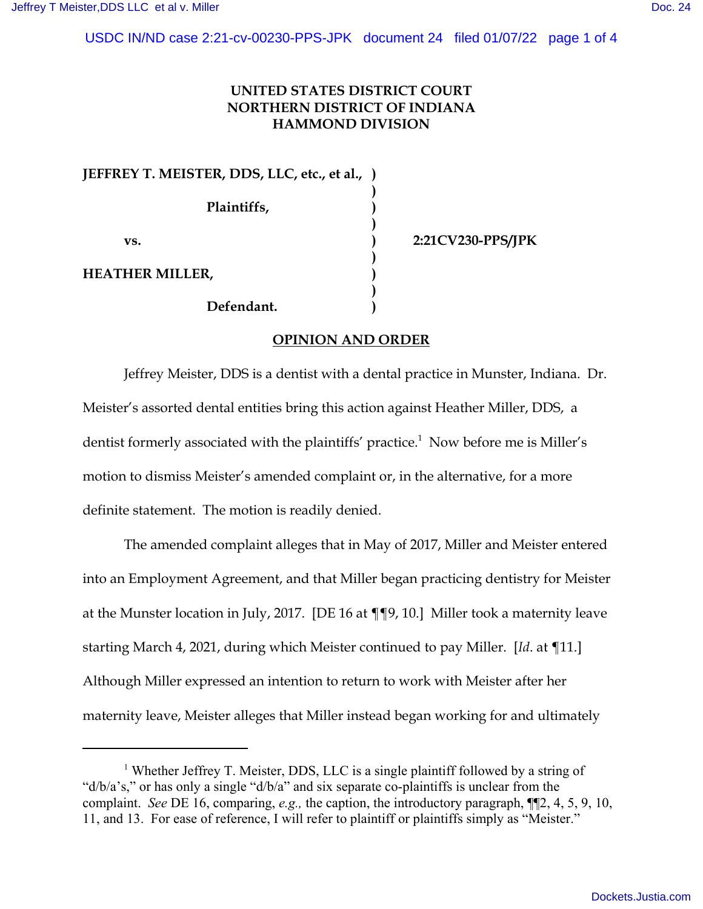## **UNITED STATES DISTRICT COURT NORTHERN DISTRICT OF INDIANA HAMMOND DIVISION**

**)**

**)**

**)**

**)**

**JEFFREY T. MEISTER, DDS, LLC, etc., et al., ) Plaintiffs, ) vs. ) 2:21CV230-PPS/JPK HEATHER MILLER, )**

**Defendant. )**

# **OPINION AND ORDER**

Jeffrey Meister, DDS is a dentist with a dental practice in Munster, Indiana. Dr. Meister's assorted dental entities bring this action against Heather Miller, DDS, a dentist formerly associated with the plaintiffs' practice.<sup>1</sup> Now before me is Miller's motion to dismiss Meister's amended complaint or, in the alternative, for a more definite statement. The motion is readily denied.

The amended complaint alleges that in May of 2017, Miller and Meister entered into an Employment Agreement, and that Miller began practicing dentistry for Meister at the Munster location in July, 2017. [DE 16 at ¶¶9, 10.] Miller took a maternity leave starting March 4, 2021, during which Meister continued to pay Miller. [*Id*. at ¶11.] Although Miller expressed an intention to return to work with Meister after her maternity leave, Meister alleges that Miller instead began working for and ultimately

<sup>&</sup>lt;sup>1</sup> Whether Jeffrey T. Meister, DDS, LLC is a single plaintiff followed by a string of "d/b/a's," or has only a single "d/b/a" and six separate co-plaintiffs is unclear from the complaint. *See* DE 16, comparing, *e.g.,* the caption, the introductory paragraph, ¶¶2, 4, 5, 9, 10, 11, and 13. For ease of reference, I will refer to plaintiff or plaintiffs simply as "Meister."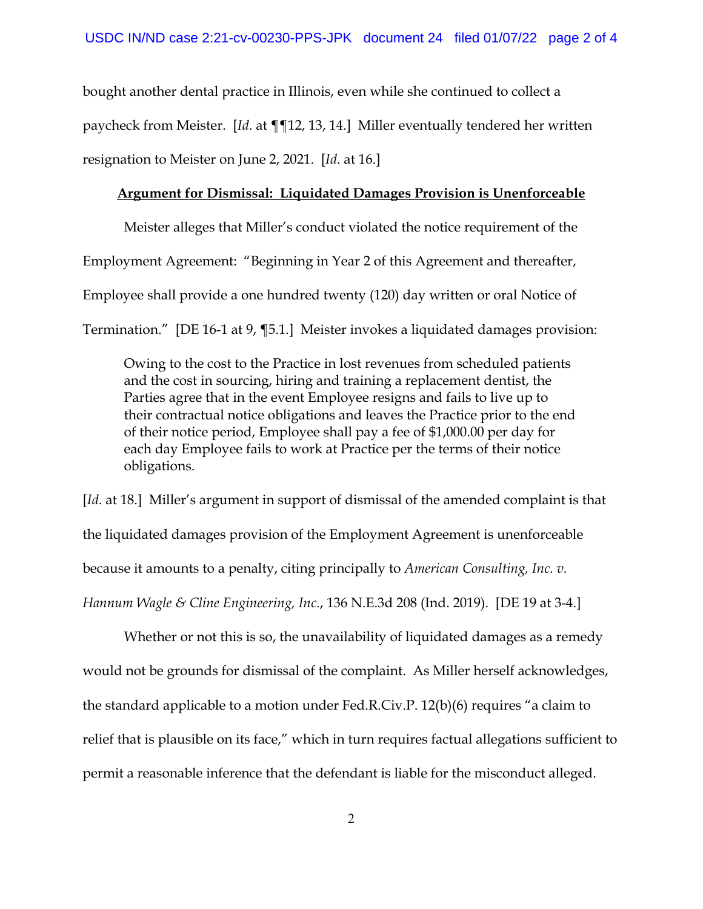bought another dental practice in Illinois, even while she continued to collect a paycheck from Meister. [*Id*. at ¶¶12, 13, 14.] Miller eventually tendered her written resignation to Meister on June 2, 2021. [*Id*. at 16.]

#### **Argument for Dismissal: Liquidated Damages Provision is Unenforceable**

Meister alleges that Miller's conduct violated the notice requirement of the Employment Agreement: "Beginning in Year 2 of this Agreement and thereafter, Employee shall provide a one hundred twenty (120) day written or oral Notice of Termination." [DE 16-1 at 9, ¶5.1.] Meister invokes a liquidated damages provision:

Owing to the cost to the Practice in lost revenues from scheduled patients and the cost in sourcing, hiring and training a replacement dentist, the Parties agree that in the event Employee resigns and fails to live up to their contractual notice obligations and leaves the Practice prior to the end of their notice period, Employee shall pay a fee of \$1,000.00 per day for each day Employee fails to work at Practice per the terms of their notice obligations.

[*Id.* at 18.] Miller's argument in support of dismissal of the amended complaint is that the liquidated damages provision of the Employment Agreement is unenforceable because it amounts to a penalty, citing principally to *American Consulting, Inc. v. Hannum Wagle & Cline Engineering, Inc.*, 136 N.E.3d 208 (Ind. 2019). [DE 19 at 3-4.]

Whether or not this is so, the unavailability of liquidated damages as a remedy would not be grounds for dismissal of the complaint. As Miller herself acknowledges, the standard applicable to a motion under Fed.R.Civ.P. 12(b)(6) requires "a claim to relief that is plausible on its face," which in turn requires factual allegations sufficient to permit a reasonable inference that the defendant is liable for the misconduct alleged.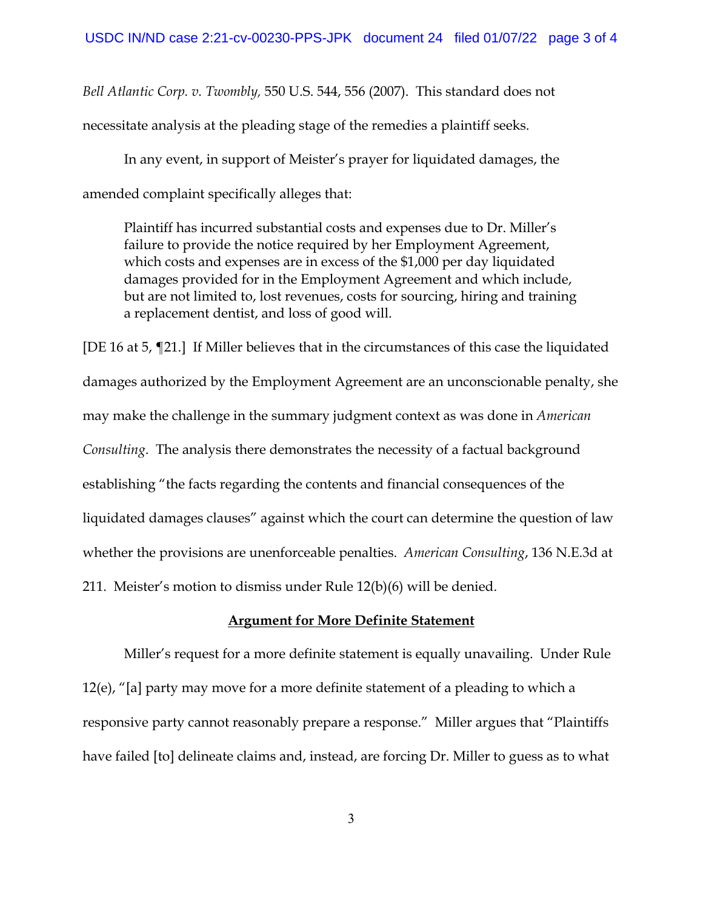*Bell Atlantic Corp. v. Twombly,* 550 U.S. 544, 556 (2007). This standard does not necessitate analysis at the pleading stage of the remedies a plaintiff seeks.

In any event, in support of Meister's prayer for liquidated damages, the amended complaint specifically alleges that:

Plaintiff has incurred substantial costs and expenses due to Dr. Miller's failure to provide the notice required by her Employment Agreement, which costs and expenses are in excess of the \$1,000 per day liquidated damages provided for in the Employment Agreement and which include, but are not limited to, lost revenues, costs for sourcing, hiring and training a replacement dentist, and loss of good will.

[DE 16 at 5, ¶21.] If Miller believes that in the circumstances of this case the liquidated damages authorized by the Employment Agreement are an unconscionable penalty, she may make the challenge in the summary judgment context as was done in *American Consulting*. The analysis there demonstrates the necessity of a factual background establishing "the facts regarding the contents and financial consequences of the liquidated damages clauses" against which the court can determine the question of law whether the provisions are unenforceable penalties. *American Consulting*, 136 N.E.3d at 211. Meister's motion to dismiss under Rule 12(b)(6) will be denied.

### **Argument for More Definite Statement**

Miller's request for a more definite statement is equally unavailing. Under Rule 12(e), "[a] party may move for a more definite statement of a pleading to which a responsive party cannot reasonably prepare a response." Miller argues that "Plaintiffs have failed [to] delineate claims and, instead, are forcing Dr. Miller to guess as to what